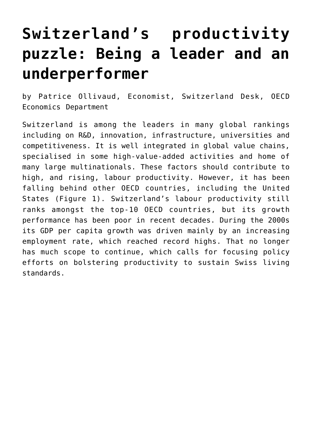## **[Switzerland's productivity](https://oecdecoscope.blog/2018/01/08/switzerlands-productivity-puzzle-being-a-leader-and-an-underperformer/) [puzzle: Being a leader and an](https://oecdecoscope.blog/2018/01/08/switzerlands-productivity-puzzle-being-a-leader-and-an-underperformer/) [underperformer](https://oecdecoscope.blog/2018/01/08/switzerlands-productivity-puzzle-being-a-leader-and-an-underperformer/)**

by Patrice Ollivaud, Economist, Switzerland Desk, OECD Economics Department

Switzerland is among the leaders in many global rankings including on R&D, innovation, infrastructure, universities and competitiveness. It is well integrated in global value chains, specialised in some high-value-added activities and home of many large multinationals. These factors should contribute to high, and rising, labour productivity. However, it has been falling behind other OECD countries, including the United States (Figure 1). Switzerland's labour productivity still ranks amongst the top-10 OECD countries, but its growth performance has been poor in recent decades. During the 2000s its GDP per capita growth was driven mainly by an increasing employment rate, which reached record highs. That no longer has much scope to continue, which calls for focusing policy efforts on bolstering productivity to sustain Swiss living standards.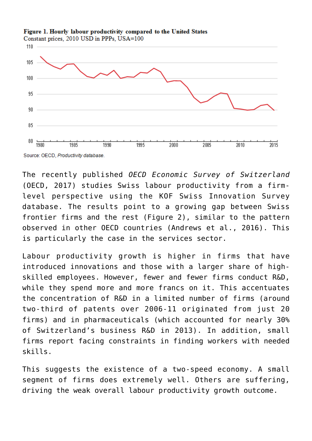

Figure 1. Hourly labour productivity compared to the United States Constant prices, 2010 USD in PPPs, USA=100

The recently published *[OECD Economic Survey of Switzerland](http://www.oecd.org/economy/economic-survey-switzerland.htm)* (OECD, 2017) studies Swiss labour productivity from a firmlevel perspective using the KOF Swiss Innovation Survey database. The results point to a growing gap between Swiss frontier firms and the rest (Figure 2), similar to the pattern observed in other OECD countries (Andrews et al., 2016). This is particularly the case in the services sector.

Labour productivity growth is higher in firms that have introduced innovations and those with a larger share of highskilled employees. However, fewer and fewer firms conduct R&D, while they spend more and more francs on it. This accentuates the concentration of R&D in a limited number of firms (around two-third of patents over 2006-11 originated from just 20 firms) and in pharmaceuticals (which accounted for nearly 30% of Switzerland's business R&D in 2013). In addition, small firms report facing constraints in finding workers with needed skills.

This suggests the existence of a two-speed economy. A small segment of firms does extremely well. Others are suffering, driving the weak overall labour productivity growth outcome.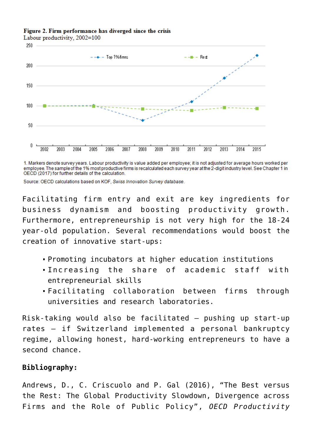Figure 2. Firm performance has diverged since the crisis

Labour productivity, 2002=100



1. Markers denote survey years. Labour productivity is value added per employee; it is not adjusted for average hours worked per employee. The sample of the 1% most productive firms is recalculated each survey year at the 2-digit industry level. See Chapter 1 in OECD (2017) for further details of the calculation.

Source: OECD calculations based on KOF, Swiss Innovation Survey database.

Facilitating firm entry and exit are key ingredients for business dynamism and boosting productivity growth. Furthermore, entrepreneurship is not very high for the 18-24 year-old population. Several recommendations would boost the creation of innovative start-ups:

- Promoting incubators at higher education institutions
- Increasing the share of academic staff with entrepreneurial skills
- Facilitating collaboration between firms through universities and research laboratories.

Risk-taking would also be facilitated – pushing up start-up rates – if Switzerland implemented a personal bankruptcy regime, allowing honest, hard-working entrepreneurs to have a second chance.

## **Bibliography:**

Andrews, D., C. Criscuolo and P. Gal (2016), "The Best versus the Rest: The Global Productivity Slowdown, Divergence across Firms and the Role of Public Policy", *OECD Productivity*